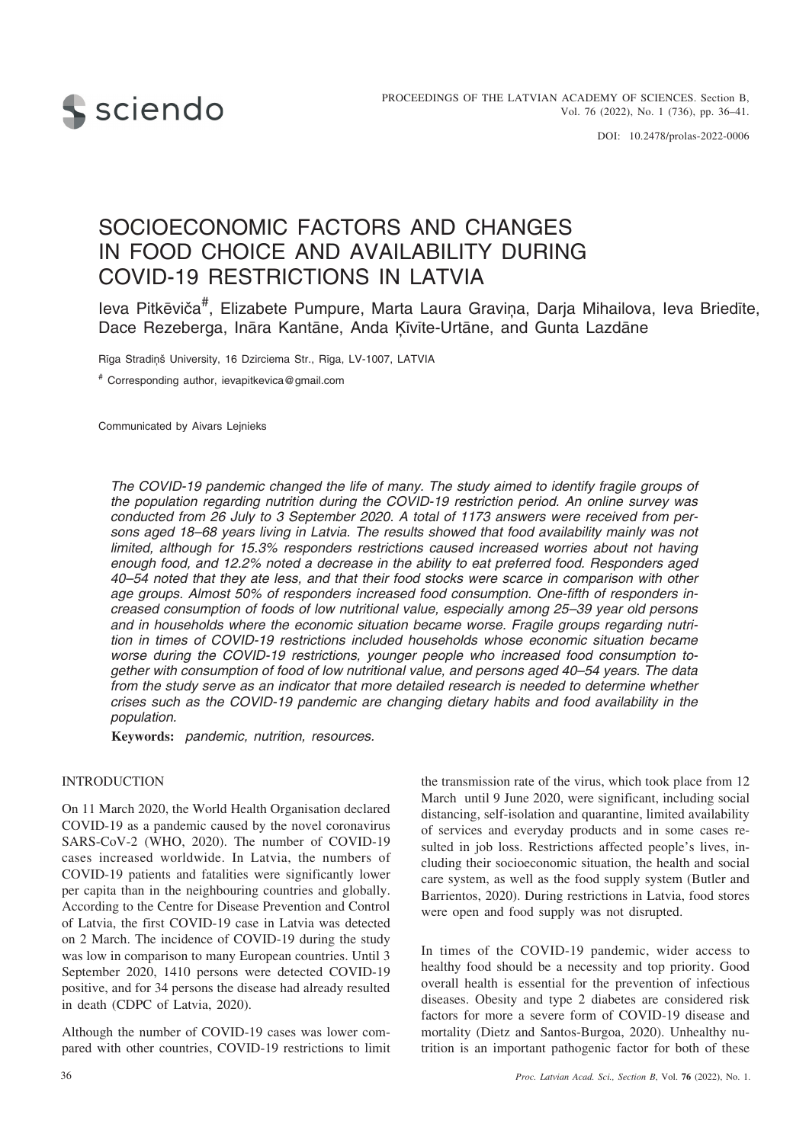

# SOCIOECONOMIC FACTORS AND CHANGES IN FOOD CHOICE AND AVAILABILITY DURING COVID-19 RESTRICTIONS IN LATVIA

Ieva Pitkēviča<sup>#</sup>, Elizabete Pumpure, Marta Laura Graviņa, Darja Mihailova, Ieva Briedīte, Dace Rezeberga, Ināra Kantāne, Anda Ķīvīte-Urtāne, and Gunta Lazdāne

Rīga Stradiņš University, 16 Dzirciema Str., Rīga, LV-1007, LATVIA

# Corresponding author, ievapitkevica@gmail.com

Communicated by Aivars Lejnieks

*The COVID-19 pandemic changed the life of many. The study aimed to identify fragile groups of the population regarding nutrition during the COVID-19 restriction period. An online survey was conducted from 26 July to 3 September 2020. A total of 1173 answers were received from persons aged 18–68 years living in Latvia. The results showed that food availability mainly was not limited, although for 15.3% responders restrictions caused increased worries about not having enough food, and 12.2% noted a decrease in the ability to eat preferred food. Responders aged 40–54 noted that they ate less, and that their food stocks were scarce in comparison with other age groups. Almost 50% of responders increased food consumption. One-fifth of responders increased consumption of foods of low nutritional value, especially among 25–39 year old persons and in households where the economic situation became worse. Fragile groups regarding nutrition in times of COVID-19 restrictions included households whose economic situation became worse during the COVID-19 restrictions, younger people who increased food consumption together with consumption of food of low nutritional value, and persons aged 40–54 years. The data from the study serve as an indicator that more detailed research is needed to determine whether crises such as the COVID-19 pandemic are changing dietary habits and food availability in the population.*

**Keywords:** *pandemic, nutrition, resources.*

## INTRODUCTION

On 11 March 2020, the World Health Organisation declared COVID-19 as a pandemic caused by the novel coronavirus SARS-CoV-2 (WHO, 2020). The number of COVID-19 cases increased worldwide. In Latvia, the numbers of COVID-19 patients and fatalities were significantly lower per capita than in the neighbouring countries and globally. According to the Centre for Disease Prevention and Control of Latvia, the first COVID-19 case in Latvia was detected on 2 March. The incidence of COVID-19 during the study was low in comparison to many European countries. Until 3 September 2020, 1410 persons were detected COVID-19 positive, and for 34 persons the disease had already resulted in death (CDPC of Latvia, 2020).

Although the number of COVID-19 cases was lower compared with other countries, COVID-19 restrictions to limit the transmission rate of the virus, which took place from 12 March until 9 June 2020, were significant, including social distancing, self-isolation and quarantine, limited availability of services and everyday products and in some cases resulted in job loss. Restrictions affected people's lives, including their socioeconomic situation, the health and social care system, as well as the food supply system (Butler and Barrientos, 2020). During restrictions in Latvia, food stores were open and food supply was not disrupted.

In times of the COVID-19 pandemic, wider access to healthy food should be a necessity and top priority. Good overall health is essential for the prevention of infectious diseases. Obesity and type 2 diabetes are considered risk factors for more a severe form of COVID-19 disease and mortality (Dietz and Santos-Burgoa, 2020). Unhealthy nutrition is an important pathogenic factor for both of these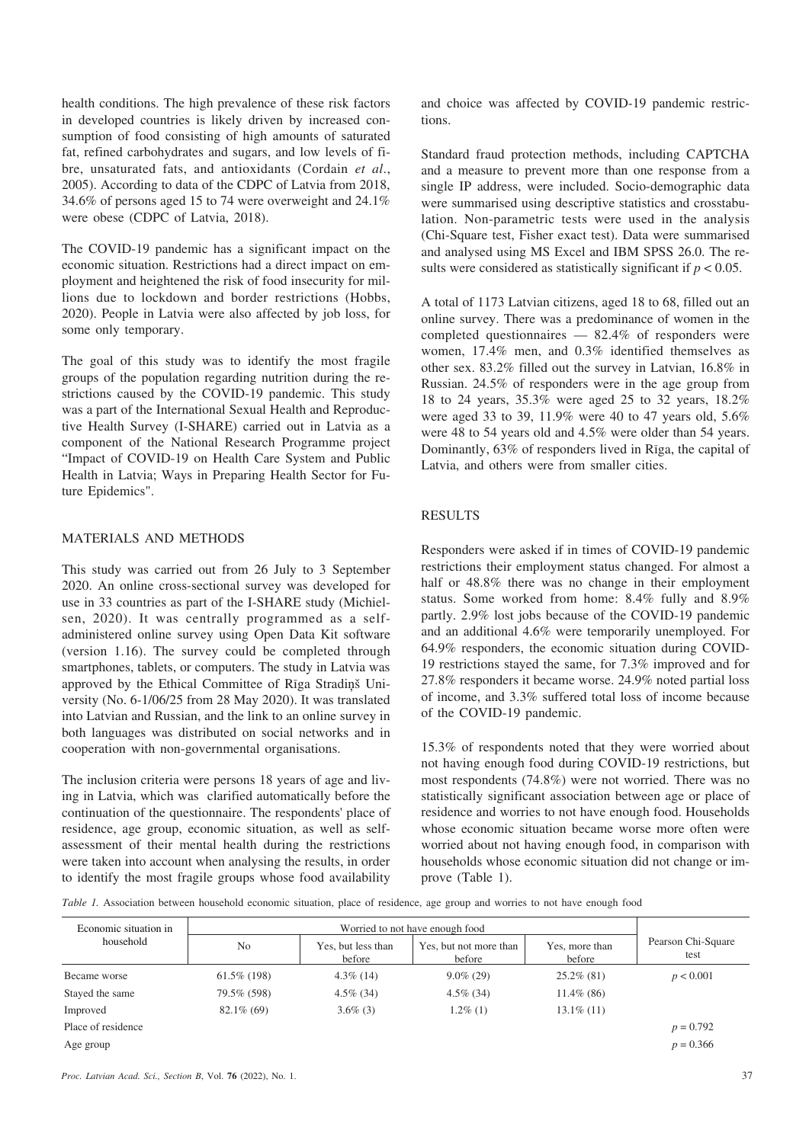health conditions. The high prevalence of these risk factors in developed countries is likely driven by increased consumption of food consisting of high amounts of saturated fat, refined carbohydrates and sugars, and low levels of fibre, unsaturated fats, and antioxidants (Cordain *et al*., 2005). According to data of the CDPC of Latvia from 2018, 34.6% of persons aged 15 to 74 were overweight and 24.1% were obese (CDPC of Latvia, 2018).

The COVID-19 pandemic has a significant impact on the economic situation. Restrictions had a direct impact on employment and heightened the risk of food insecurity for millions due to lockdown and border restrictions (Hobbs, 2020). People in Latvia were also affected by job loss, for some only temporary.

The goal of this study was to identify the most fragile groups of the population regarding nutrition during the restrictions caused by the COVID-19 pandemic. This study was a part of the International Sexual Health and Reproductive Health Survey (I-SHARE) carried out in Latvia as a component of the National Research Programme project "Impact of COVID-19 on Health Care System and Public Health in Latvia; Ways in Preparing Health Sector for Future Epidemics".

## MATERIALS AND METHODS

This study was carried out from 26 July to 3 September 2020. An online cross-sectional survey was developed for use in 33 countries as part of the I-SHARE study (Michielsen, 2020). It was centrally programmed as a selfadministered online survey using Open Data Kit software (version 1.16). The survey could be completed through smartphones, tablets, or computers. The study in Latvia was approved by the Ethical Committee of Rīga Stradiņš University (No. 6-1/06/25 from 28 May 2020). It was translated into Latvian and Russian, and the link to an online survey in both languages was distributed on social networks and in cooperation with non-governmental organisations.

The inclusion criteria were persons 18 years of age and living in Latvia, which was clarified automatically before the continuation of the questionnaire. The respondents' place of residence, age group, economic situation, as well as selfassessment of their mental health during the restrictions were taken into account when analysing the results, in order to identify the most fragile groups whose food availability and choice was affected by COVID-19 pandemic restrictions.

Standard fraud protection methods, including CAPTCHA and a measure to prevent more than one response from a single IP address, were included. Socio-demographic data were summarised using descriptive statistics and crosstabulation. Non-parametric tests were used in the analysis (Chi-Square test, Fisher exact test). Data were summarised and analysed using MS Excel and IBM SPSS 26.0. The results were considered as statistically significant if  $p < 0.05$ .

A total of 1173 Latvian citizens, aged 18 to 68, filled out an online survey. There was a predominance of women in the completed questionnaires — 82.4% of responders were women, 17.4% men, and 0.3% identified themselves as other sex. 83.2% filled out the survey in Latvian, 16.8% in Russian. 24.5% of responders were in the age group from 18 to 24 years, 35.3% were aged 25 to 32 years, 18.2% were aged 33 to 39, 11.9% were 40 to 47 years old, 5.6% were 48 to 54 years old and 4.5% were older than 54 years. Dominantly, 63% of responders lived in Rîga, the capital of Latvia, and others were from smaller cities.

## RESULTS

Responders were asked if in times of COVID-19 pandemic restrictions their employment status changed. For almost a half or 48.8% there was no change in their employment status. Some worked from home: 8.4% fully and 8.9% partly. 2.9% lost jobs because of the COVID-19 pandemic and an additional 4.6% were temporarily unemployed. For 64.9% responders, the economic situation during COVID-19 restrictions stayed the same, for 7.3% improved and for 27.8% responders it became worse. 24.9% noted partial loss of income, and 3.3% suffered total loss of income because of the COVID-19 pandemic.

15.3% of respondents noted that they were worried about not having enough food during COVID-19 restrictions, but most respondents (74.8%) were not worried. There was no statistically significant association between age or place of residence and worries to not have enough food. Households whose economic situation became worse more often were worried about not having enough food, in comparison with households whose economic situation did not change or improve (Table 1).

*Table 1.* Association between household economic situation, place of residence, age group and worries to not have enough food

| Economic situation in | Worried to not have enough food |                              |                                  |                          |                            |
|-----------------------|---------------------------------|------------------------------|----------------------------------|--------------------------|----------------------------|
| household             | N <sub>0</sub>                  | Yes, but less than<br>before | Yes, but not more than<br>before | Yes, more than<br>before | Pearson Chi-Square<br>test |
| Became worse          | $61.5\%$ (198)                  | $4.3\%$ (14)                 | $9.0\%$ (29)                     | $25.2\%$ (81)            | p < 0.001                  |
| Stayed the same       | 79.5% (598)                     | $4.5\%$ (34)                 | $4.5\%$ (34)                     | $11.4\%$ (86)            |                            |
| Improved              | $82.1\%$ (69)                   | $3.6\%$ (3)                  | $1.2\%$ (1)                      | $13.1\%$ (11)            |                            |
| Place of residence    |                                 |                              |                                  |                          | $p = 0.792$                |
| Age group             |                                 |                              |                                  |                          | $p = 0.366$                |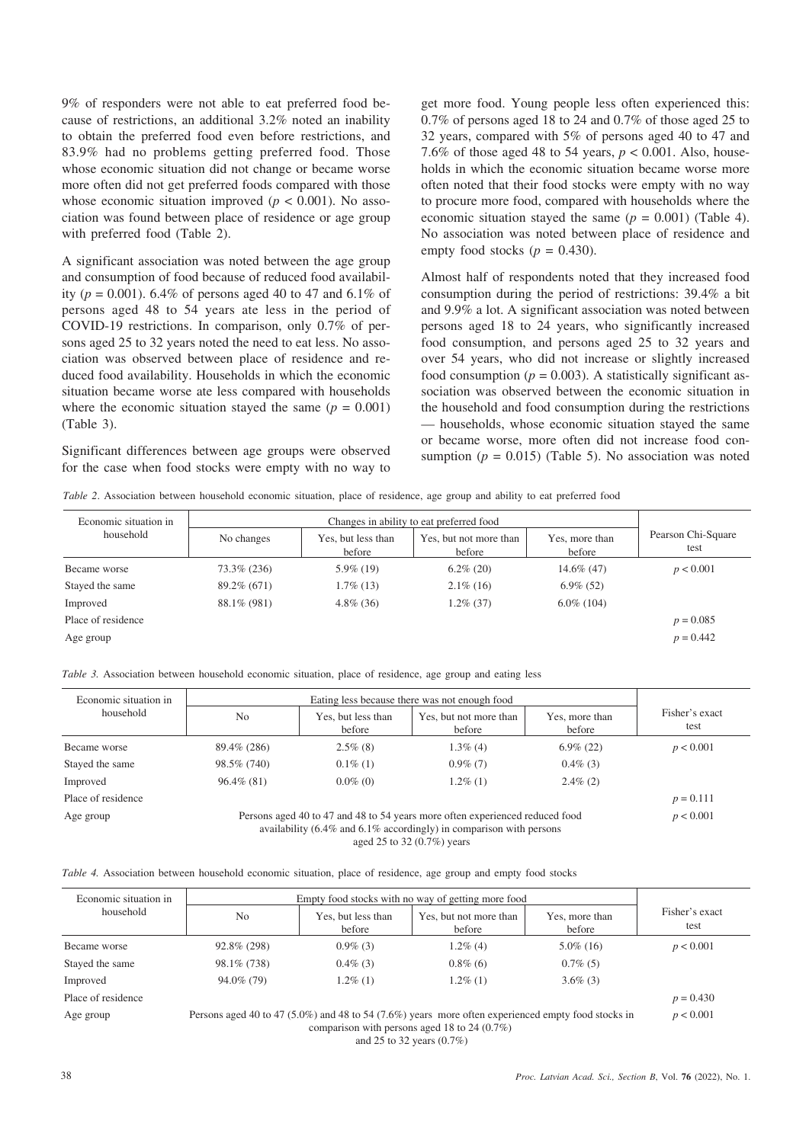9% of responders were not able to eat preferred food because of restrictions, an additional 3.2% noted an inability to obtain the preferred food even before restrictions, and 83.9% had no problems getting preferred food. Those whose economic situation did not change or became worse more often did not get preferred foods compared with those whose economic situation improved ( $p < 0.001$ ). No association was found between place of residence or age group with preferred food (Table 2).

A significant association was noted between the age group and consumption of food because of reduced food availability ( $p = 0.001$ ). 6.4% of persons aged 40 to 47 and 6.1% of persons aged 48 to 54 years ate less in the period of COVID-19 restrictions. In comparison, only 0.7% of persons aged 25 to 32 years noted the need to eat less. No association was observed between place of residence and reduced food availability. Households in which the economic situation became worse ate less compared with households where the economic situation stayed the same  $(p = 0.001)$ (Table 3).

Significant differences between age groups were observed for the case when food stocks were empty with no way to get more food. Young people less often experienced this: 0.7% of persons aged 18 to 24 and 0.7% of those aged 25 to 32 years, compared with 5% of persons aged 40 to 47 and 7.6% of those aged 48 to 54 years, *p* < 0.001. Also, households in which the economic situation became worse more often noted that their food stocks were empty with no way to procure more food, compared with households where the economic situation stayed the same  $(p = 0.001)$  (Table 4). No association was noted between place of residence and empty food stocks ( $p = 0.430$ ).

Almost half of respondents noted that they increased food consumption during the period of restrictions: 39.4% a bit and 9.9% a lot. A significant association was noted between persons aged 18 to 24 years, who significantly increased food consumption, and persons aged 25 to 32 years and over 54 years, who did not increase or slightly increased food consumption ( $p = 0.003$ ). A statistically significant association was observed between the economic situation in the household and food consumption during the restrictions — households, whose economic situation stayed the same or became worse, more often did not increase food consumption  $(p = 0.015)$  (Table 5). No association was noted

| Table 2. Association between household economic situation, place of residence, age group and ability to eat preferred food |  |  |  |
|----------------------------------------------------------------------------------------------------------------------------|--|--|--|
|                                                                                                                            |  |  |  |

| Economic situation in | Changes in ability to eat preferred food |                              |                                  |                          |                            |
|-----------------------|------------------------------------------|------------------------------|----------------------------------|--------------------------|----------------------------|
| household             | No changes                               | Yes, but less than<br>before | Yes, but not more than<br>before | Yes, more than<br>before | Pearson Chi-Square<br>test |
| Became worse          | 73.3% (236)                              | $5.9\%$ (19)                 | $6.2\%$ (20)                     | 14.6% (47)               | p < 0.001                  |
| Stayed the same       | 89.2% (671)                              | $1.7\%$ (13)                 | $2.1\%$ (16)                     | $6.9\%$ (52)             |                            |
| Improved              | 88.1\% (981)                             | $4.8\%$ (36)                 | $1.2\%$ (37)                     | $6.0\%$ (104)            |                            |
| Place of residence    |                                          |                              |                                  |                          | $p = 0.085$                |
| Age group             |                                          |                              |                                  |                          | $p = 0.442$                |

*Table 3.* Association between household economic situation, place of residence, age group and eating less

| Economic situation in | Eating less because there was not enough food                                                                                                             |                              |                                  |                          |                        |
|-----------------------|-----------------------------------------------------------------------------------------------------------------------------------------------------------|------------------------------|----------------------------------|--------------------------|------------------------|
| household             | No                                                                                                                                                        | Yes, but less than<br>before | Yes, but not more than<br>before | Yes, more than<br>before | Fisher's exact<br>test |
| Became worse          | 89.4% (286)                                                                                                                                               | $2.5\%$ (8)                  | $1.3\%$ (4)                      | $6.9\%$ (22)             | p < 0.001              |
| Stayed the same       | 98.5% (740)                                                                                                                                               | $0.1\%$ (1)                  | $0.9\%$ (7)                      | $0.4\%$ (3)              |                        |
| Improved              | $96.4\%$ (81)                                                                                                                                             | $0.0\%$ (0)                  | $1.2\%$ (1)                      | $2.4\%$ (2)              |                        |
| Place of residence    |                                                                                                                                                           |                              |                                  |                          | $p = 0.111$            |
| Age group             | Persons aged 40 to 47 and 48 to 54 years more often experienced reduced food<br>availability $(6.4\%$ and $6.1\%$ accordingly) in comparison with persons |                              |                                  |                          | p < 0.001              |

aged 25 to 32 (0.7%) years

| Economic situation in |                | Empty food stocks with no way of getting more food                                                                                                                           |                                  |                          |                        |
|-----------------------|----------------|------------------------------------------------------------------------------------------------------------------------------------------------------------------------------|----------------------------------|--------------------------|------------------------|
| household             | N <sub>o</sub> | Yes, but less than<br>before                                                                                                                                                 | Yes, but not more than<br>before | Yes, more than<br>before | Fisher's exact<br>test |
| Became worse          | 92.8% (298)    | $0.9\%$ (3)                                                                                                                                                                  | $1.2\%$ (4)                      | $5.0\%$ (16)             | p < 0.001              |
| Stayed the same       | 98.1\% (738)   | $0.4\%$ (3)                                                                                                                                                                  | $0.8\%$ (6)                      | $0.7\%$ (5)              |                        |
| Improved              | 94.0% (79)     | $1.2\%$ (1)                                                                                                                                                                  | $1.2\%$ (1)                      | $3.6\%$ (3)              |                        |
| Place of residence    |                |                                                                                                                                                                              |                                  |                          | $p = 0.430$            |
| Age group             |                | Persons aged 40 to 47 (5.0%) and 48 to 54 (7.6%) years more often experienced empty food stocks in<br>comparison with persons aged 18 to 24 $(0.7\%)$<br>$105.22 \times 107$ |                                  |                          |                        |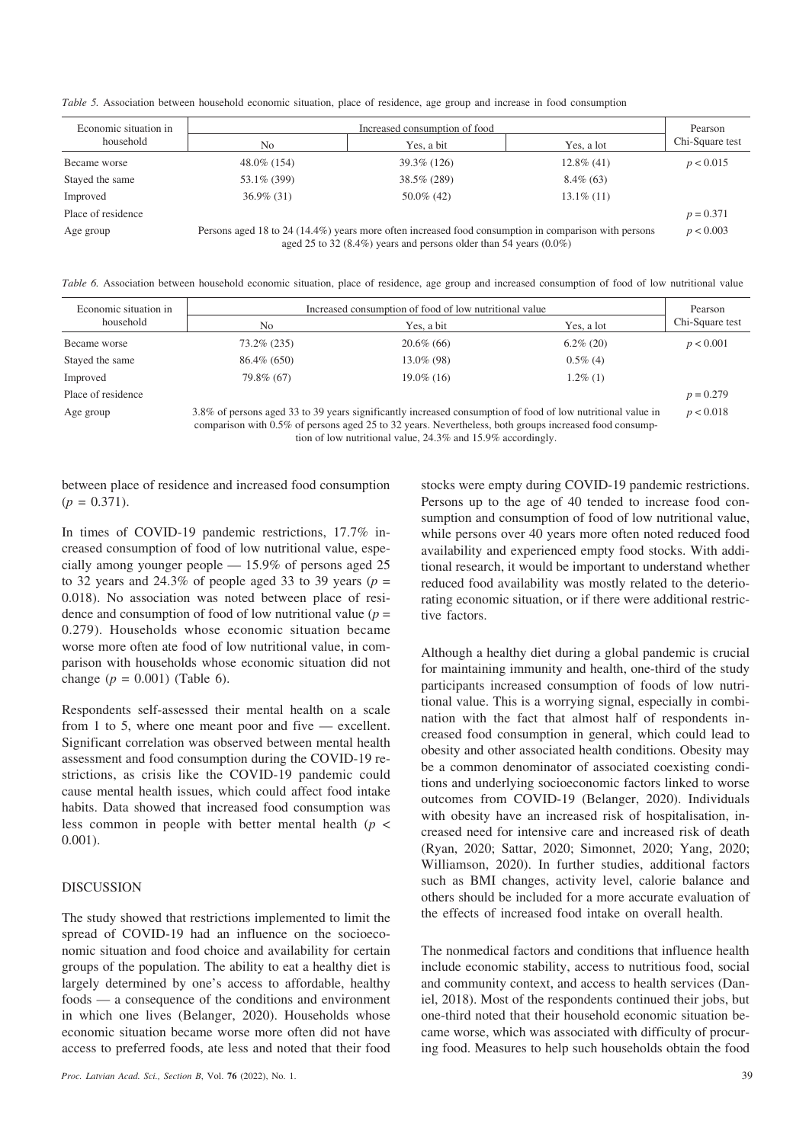*Table 5.* Association between household economic situation, place of residence, age group and increase in food consumption

| Economic situation in | Increased consumption of food                                                                                                                                                |               |               |                 |  |
|-----------------------|------------------------------------------------------------------------------------------------------------------------------------------------------------------------------|---------------|---------------|-----------------|--|
| household             | No                                                                                                                                                                           | Yes, a bit    | Yes. a lot    | Chi-Square test |  |
| Became worse          | 48.0% (154)                                                                                                                                                                  | 39.3% (126)   | $12.8\%$ (41) | p < 0.015       |  |
| Stayed the same       | 53.1\% (399)                                                                                                                                                                 | 38.5% (289)   | $8.4\%$ (63)  |                 |  |
| Improved              | $36.9\%$ (31)                                                                                                                                                                | $50.0\%$ (42) | $13.1\%$ (11) |                 |  |
| Place of residence    |                                                                                                                                                                              |               |               | $p = 0.371$     |  |
| Age group             | Persons aged 18 to 24 (14.4%) years more often increased food consumption in comparison with persons<br>aged 25 to 32 (8.4%) years and persons older than 54 years $(0.0\%)$ |               |               |                 |  |

*Table 6.* Association between household economic situation, place of residence, age group and increased consumption of food of low nutritional value

| Economic situation in | Increased consumption of food of low nutritional value                                                                                                                                                                |               |              |                 |  |
|-----------------------|-----------------------------------------------------------------------------------------------------------------------------------------------------------------------------------------------------------------------|---------------|--------------|-----------------|--|
| household             | No                                                                                                                                                                                                                    | Yes, a bit    | Yes, a lot   | Chi-Square test |  |
| Became worse          | 73.2% (235)                                                                                                                                                                                                           | $20.6\%$ (66) | $6.2\%$ (20) | p < 0.001       |  |
| Stayed the same       | $86.4\%$ (650)                                                                                                                                                                                                        | 13.0\% (98)   | $0.5\%$ (4)  |                 |  |
| Improved              | 79.8% (67)                                                                                                                                                                                                            | $19.0\%$ (16) | $1.2\%$ (1)  |                 |  |
| Place of residence    |                                                                                                                                                                                                                       |               |              | $p = 0.279$     |  |
| Age group             | 3.8% of persons aged 33 to 39 years significantly increased consumption of food of low nutritional value in<br>comparison with 0.5% of persons aged 25 to 32 years. Nevertheless, both groups increased food consump- |               |              |                 |  |

tion of low nutritional value, 24.3% and 15.9% accordingly.

between place of residence and increased food consumption  $(p = 0.371)$ .

In times of COVID-19 pandemic restrictions, 17.7% increased consumption of food of low nutritional value, especially among younger people — 15.9% of persons aged 25 to 32 years and 24.3% of people aged 33 to 39 years ( $p =$ 0.018). No association was noted between place of residence and consumption of food of low nutritional value  $(p =$ 0.279). Households whose economic situation became worse more often ate food of low nutritional value, in comparison with households whose economic situation did not change  $(p = 0.001)$  (Table 6).

Respondents self-assessed their mental health on a scale from 1 to 5, where one meant poor and five — excellent. Significant correlation was observed between mental health assessment and food consumption during the COVID-19 restrictions, as crisis like the COVID-19 pandemic could cause mental health issues, which could affect food intake habits. Data showed that increased food consumption was less common in people with better mental health (*p* < 0.001).

#### DISCUSSION

The study showed that restrictions implemented to limit the spread of COVID-19 had an influence on the socioeconomic situation and food choice and availability for certain groups of the population. The ability to eat a healthy diet is largely determined by one's access to affordable, healthy foods — a consequence of the conditions and environment in which one lives (Belanger, 2020). Households whose economic situation became worse more often did not have access to preferred foods, ate less and noted that their food stocks were empty during COVID-19 pandemic restrictions. Persons up to the age of 40 tended to increase food consumption and consumption of food of low nutritional value, while persons over 40 years more often noted reduced food availability and experienced empty food stocks. With additional research, it would be important to understand whether reduced food availability was mostly related to the deteriorating economic situation, or if there were additional restrictive factors.

Although a healthy diet during a global pandemic is crucial for maintaining immunity and health, one-third of the study participants increased consumption of foods of low nutritional value. This is a worrying signal, especially in combination with the fact that almost half of respondents increased food consumption in general, which could lead to obesity and other associated health conditions. Obesity may be a common denominator of associated coexisting conditions and underlying socioeconomic factors linked to worse outcomes from COVID-19 (Belanger, 2020). Individuals with obesity have an increased risk of hospitalisation, increased need for intensive care and increased risk of death (Ryan, 2020; Sattar, 2020; Simonnet, 2020; Yang, 2020; Williamson, 2020). In further studies, additional factors such as BMI changes, activity level, calorie balance and others should be included for a more accurate evaluation of the effects of increased food intake on overall health.

The nonmedical factors and conditions that influence health include economic stability, access to nutritious food, social and community context, and access to health services (Daniel, 2018). Most of the respondents continued their jobs, but one-third noted that their household economic situation became worse, which was associated with difficulty of procuring food. Measures to help such households obtain the food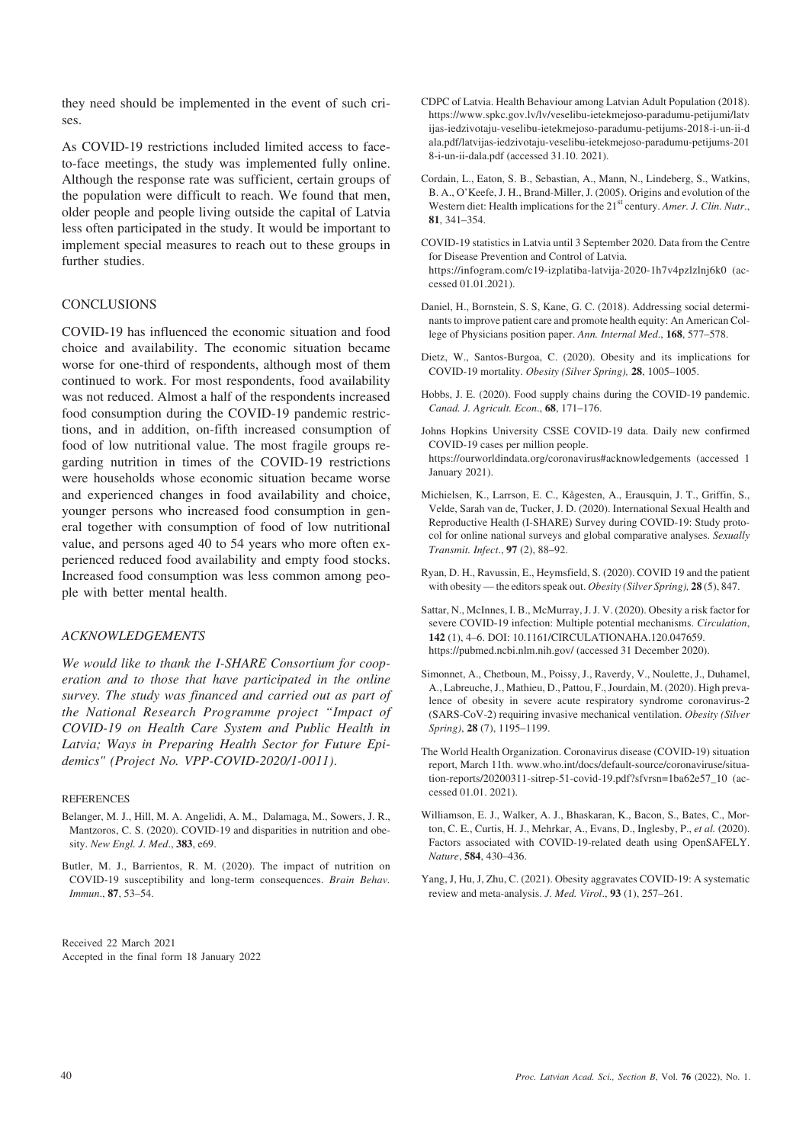they need should be implemented in the event of such crises.

As COVID-19 restrictions included limited access to faceto-face meetings, the study was implemented fully online. Although the response rate was sufficient, certain groups of the population were difficult to reach. We found that men, older people and people living outside the capital of Latvia less often participated in the study. It would be important to implement special measures to reach out to these groups in further studies.

## **CONCLUSIONS**

COVID-19 has influenced the economic situation and food choice and availability. The economic situation became worse for one-third of respondents, although most of them continued to work. For most respondents, food availability was not reduced. Almost a half of the respondents increased food consumption during the COVID-19 pandemic restrictions, and in addition, on-fifth increased consumption of food of low nutritional value. The most fragile groups regarding nutrition in times of the COVID-19 restrictions were households whose economic situation became worse and experienced changes in food availability and choice, younger persons who increased food consumption in general together with consumption of food of low nutritional value, and persons aged 40 to 54 years who more often experienced reduced food availability and empty food stocks. Increased food consumption was less common among people with better mental health.

### *ACKNOWLEDGEMENTS*

*We would like to thank the I-SHARE Consortium for cooperation and to those that have participated in the online survey. The study was financed and carried out as part of the National Research Programme project "Impact of COVID-19 on Health Care System and Public Health in Latvia; Ways in Preparing Health Sector for Future Epidemics" (Project No. VPP-COVID-2020/1-0011)*.

#### **REFERENCES**

- Belanger, M. J., Hill, M. A. Angelidi, A. M., Dalamaga, M., Sowers, J. R., Mantzoros, C. S. (2020). COVID-19 and disparities in nutrition and obesity. *New Engl. J. Med*., **383**, e69.
- Butler, M. J., Barrientos, R. M. (2020). The impact of nutrition on COVID-19 susceptibility and long-term consequences. *Brain Behav. Immun*., **87**, 53–54.

Received 22 March 2021 Accepted in the final form 18 January 2022

- CDPC of Latvia. Health Behaviour among Latvian Adult Population (2018). https://www.spkc.gov.lv/lv/veselibu-ietekmejoso-paradumu-petijumi/latv ijas-iedzivotaju-veselibu-ietekmejoso-paradumu-petijums-2018-i-un-ii-d ala.pdf/latvijas-iedzivotaju-veselibu-ietekmejoso-paradumu-petijums-201 8-i-un-ii-dala.pdf (accessed 31.10. 2021).
- Cordain, L., Eaton, S. B., Sebastian, A., Mann, N., Lindeberg, S., Watkins, B. A., O'Keefe, J. H., Brand-Miller, J. (2005). Origins and evolution of the Western diet: Health implications for the 21<sup>st</sup> century. *Amer. J. Clin. Nutr.*, **81**, 341–354.
- COVID-19 statistics in Latvia until 3 September 2020. Data from the Centre for Disease Prevention and Control of Latvia. https://infogram.com/c19-izplatiba-latvija-2020-1h7v4pzlzlnj6k0 (accessed 01.01.2021).
- Daniel, H., Bornstein, S. S, Kane, G. C. (2018). Addressing social determinants to improve patient care and promote health equity: An American College of Physicians position paper. *Ann. Internal Med*., **168**, 577–578.
- Dietz, W., Santos-Burgoa, C. (2020). Obesity and its implications for COVID-19 mortality. *Obesity (Silver Spring),* **28**, 1005–1005.
- Hobbs, J. E. (2020). Food supply chains during the COVID-19 pandemic. *Canad. J. Agricult. Econ*., **68**, 171–176.
- Johns Hopkins University CSSE COVID-19 data. Daily new confirmed COVID-19 cases per million people. https://ourworldindata.org/coronavirus#acknowledgements (accessed 1 January 2021).
- Michielsen, K., Larrson, E. C., Kågesten, A., Erausquin, J. T., Griffin, S., Velde, Sarah van de, Tucker, J. D. (2020). International Sexual Health and Reproductive Health (I-SHARE) Survey during COVID-19: Study protocol for online national surveys and global comparative analyses. *Sexually Transmit. Infect*., **97** (2), 88–92.
- Ryan, D. H., Ravussin, E., Heymsfield, S. (2020). COVID 19 and the patient with obesity — the editors speak out. *Obesity (Silver Spring),* **28** (5), 847.
- Sattar, N., McInnes, I. B., McMurray, J. J. V. (2020). Obesity a risk factor for severe COVID-19 infection: Multiple potential mechanisms. *Circulation*, **142** (1), 4–6. DOI: 10.1161/CIRCULATIONAHA.120.047659. https://pubmed.ncbi.nlm.nih.gov/ (accessed 31 December 2020).
- Simonnet, A., Chetboun, M., Poissy, J., Raverdy, V., Noulette, J., Duhamel, A., Labreuche, J., Mathieu, D., Pattou, F., Jourdain, M. (2020). High prevalence of obesity in severe acute respiratory syndrome coronavirus-2 (SARS-CoV-2) requiring invasive mechanical ventilation. *Obesity (Silver Spring)*, **28** (7), 1195–1199.
- The World Health Organization. Coronavirus disease (COVID-19) situation report, March 11th. www.who.int/docs/default-source/coronaviruse/situation-reports/20200311-sitrep-51-covid-19.pdf?sfvrsn=1ba62e57\_10 (accessed 01.01. 2021).
- Williamson, E. J., Walker, A. J., Bhaskaran, K., Bacon, S., Bates, C., Morton, C. E., Curtis, H. J., Mehrkar, A., Evans, D., Inglesby, P., *et al.* (2020). Factors associated with COVID-19-related death using OpenSAFELY. *Nature*, **584**, 430–436.
- Yang, J, Hu, J, Zhu, C. (2021). Obesity aggravates COVID-19: A systematic review and meta-analysis. *J. Med. Virol*., **93** (1), 257–261.